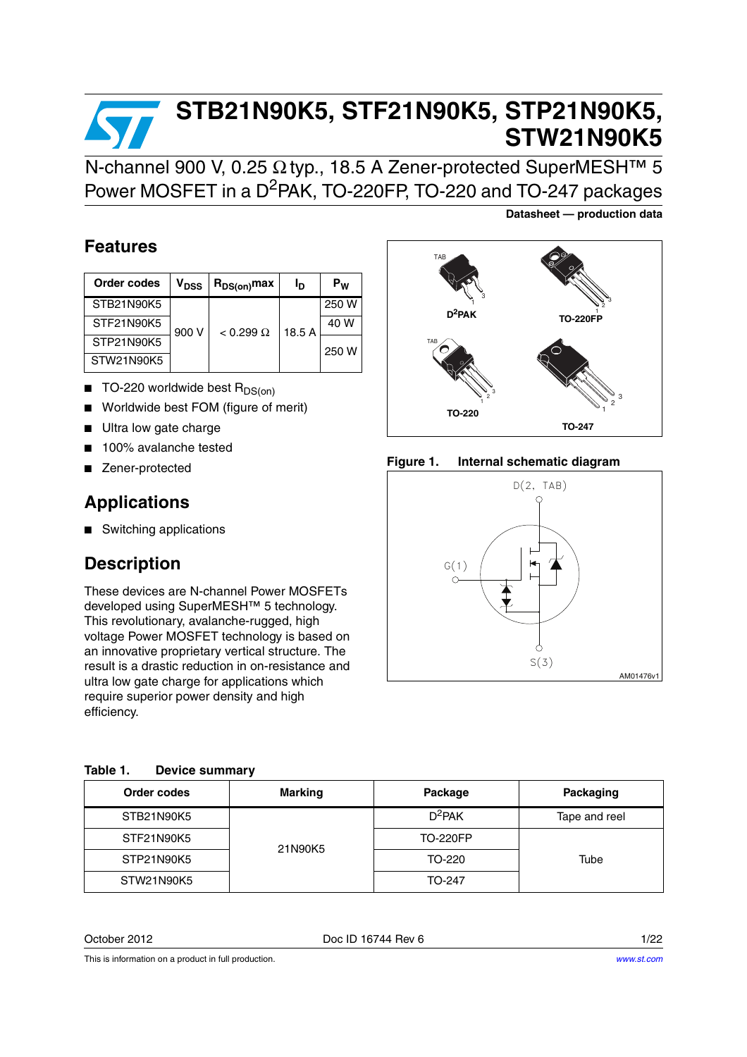# **STB21N90K5, STF21N90K5, STP21N90K5, STW21N90K5**

N-channel 900 V, 0.25 Ω typ., 18.5 A Zener-protected SuperMESH™ 5 Power MOSFET in a D<sup>2</sup>PAK, TO-220FP, TO-220 and TO-247 packages

### **Features**

| Order codes | V <sub>DSS</sub> | $R_{DS(on)}$ max | Ιŋ     | $P_W$ |
|-------------|------------------|------------------|--------|-------|
| STB21N90K5  |                  |                  |        | 250 W |
| STF21N90K5  | 900 V            | $< 0.299 \Omega$ | 18.5 A | 40 W  |
| STP21N90K5  |                  |                  |        | 250 W |
| STW21N90K5  |                  |                  |        |       |

- $\blacksquare$  TO-220 worldwide best  $R_{DS(on)}$
- Worldwide best FOM (figure of merit)
- Ultra low gate charge
- 100% avalanche tested
- Zener-protected

### **Applications**

■ Switching applications

### **Description**

These devices are N-channel Power MOSFETs developed using SuperMESH™ 5 technology. This revolutionary, avalanche-rugged, high voltage Power MOSFET technology is based on an innovative proprietary vertical structure. The result is a drastic reduction in on-resistance and ultra low gate charge for applications which require superior power density and high efficiency.

| Order codes | <b>Marking</b> | Package         | Packaging     |
|-------------|----------------|-----------------|---------------|
| STB21N90K5  |                | $D^2$ PAK       | Tape and reel |
| STF21N90K5  | 21N90K5        | <b>TO-220FP</b> |               |
| STP21N90K5  |                | TO-220          | Tube          |
| STW21N90K5  |                | TO-247          |               |

October 2012 Doc ID 16744 Rev 6 1/22

**Datasheet — production data**



**Figure 1. Internal schematic diagram**

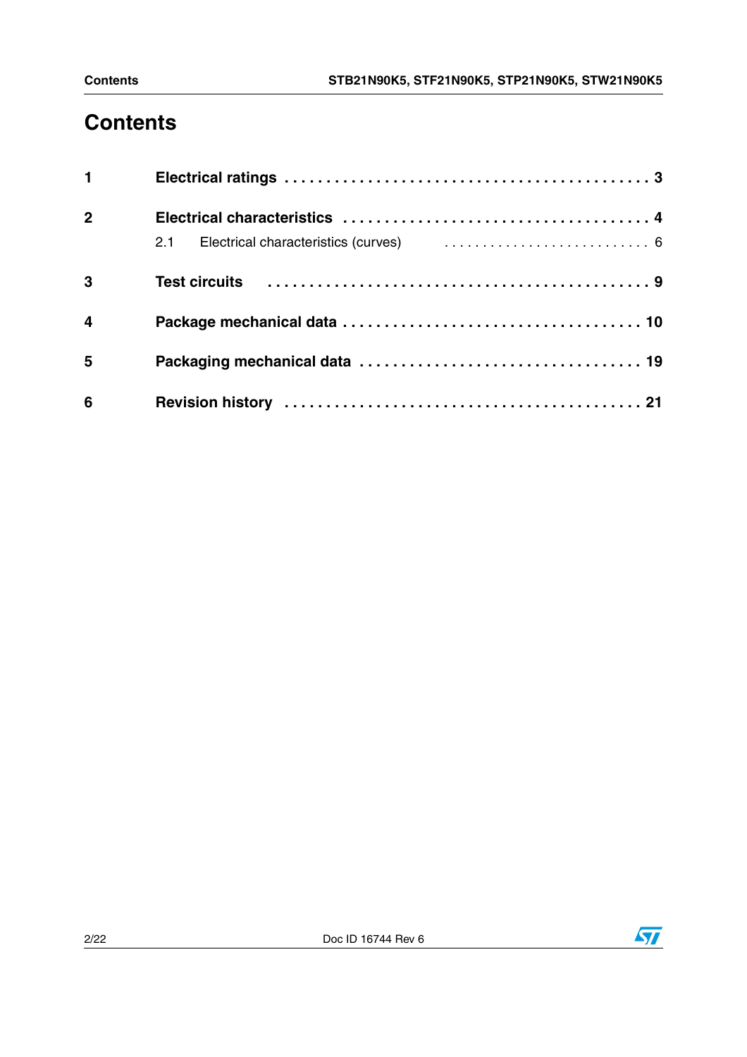# **Contents**

| 1                       |  |
|-------------------------|--|
| $\overline{2}$          |  |
|                         |  |
| $\overline{\mathbf{3}}$ |  |
| $\overline{\mathbf{4}}$ |  |
| 5                       |  |
| 6                       |  |

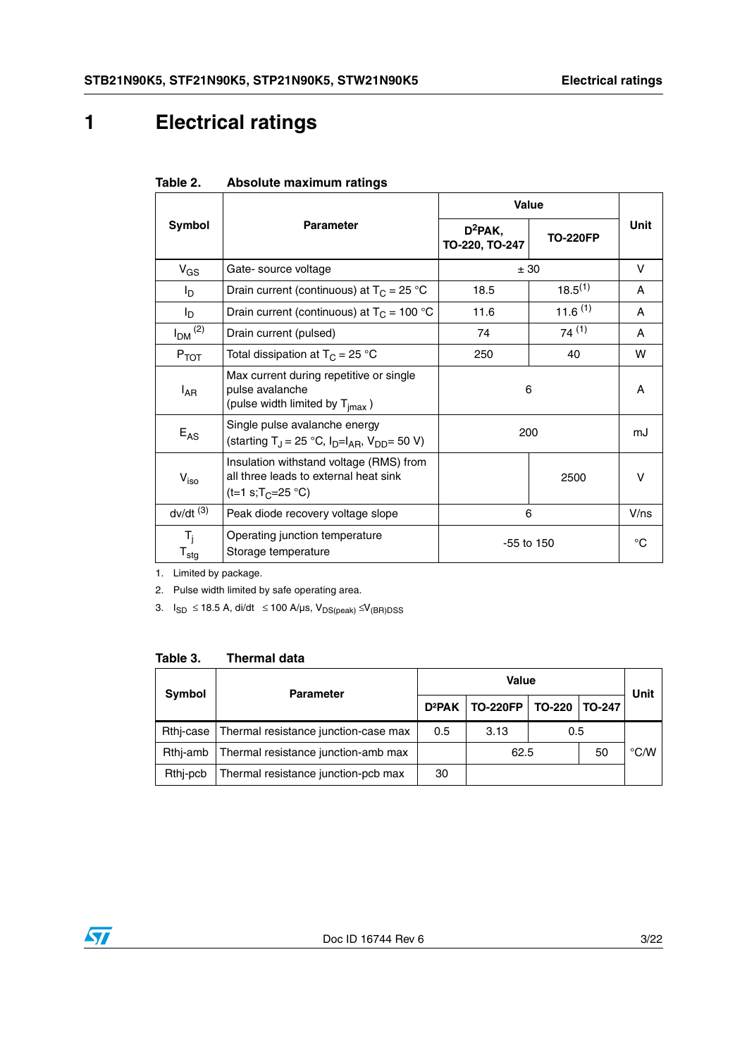# <span id="page-2-0"></span>**1 Electrical ratings**

|                                               |                                                                                                                   | Value                        |                 |             |
|-----------------------------------------------|-------------------------------------------------------------------------------------------------------------------|------------------------------|-----------------|-------------|
| Symbol                                        | <b>Parameter</b>                                                                                                  | $D^2$ PAK,<br>TO-220, TO-247 | <b>TO-220FP</b> | <b>Unit</b> |
| $V_{GS}$                                      | Gate- source voltage                                                                                              |                              | ± 30            | v           |
| l <sub>D</sub>                                | Drain current (continuous) at $T_c = 25$ °C                                                                       | $18.5^{(1)}$<br>18.5         |                 | A           |
| $I_{\mathsf{D}}$                              | Drain current (continuous) at $T_C = 100 °C$                                                                      | 11.6                         | $11.6^{(1)}$    | A           |
| $I_{DM}$ $(2)$                                | Drain current (pulsed)                                                                                            | 74                           | 74(1)           | A           |
| $P_{TOT}$                                     | Total dissipation at $T_C = 25 °C$                                                                                | 250                          | 40              | w           |
| $I_{AR}$                                      | Max current during repetitive or single<br>pulse avalanche<br>(pulse width limited by $T_{\text{imax}}$ )         | 6                            | A               |             |
| $E_{AS}$                                      | Single pulse avalanche energy<br>(starting T <sub>J</sub> = 25 °C, $I_D=I_{AB}$ , $V_{DD} = 50 V$ )               | 200                          |                 | mJ          |
| $V_{\text{iso}}$                              | Insulation withstand voltage (RMS) from<br>all three leads to external heat sink<br>(t=1 s;T <sub>C</sub> =25 °C) |                              | 2500            | v           |
| $dv/dt$ <sup>(3)</sup>                        | Peak diode recovery voltage slope                                                                                 | 6                            |                 | V/ns        |
| T <sub>i</sub><br>$\mathsf{T}_{\textsf{stg}}$ | Operating junction temperature<br>Storage temperature                                                             |                              | $-55$ to 150    | °C          |

#### <span id="page-2-1"></span>**Table 2. Absolute maximum ratings**

1. Limited by package.

2. Pulse width limited by safe operating area.

3.  $I_{SD}$  ≤ 18.5 A, di/dt ≤ 100 A/µs,  $V_{DS(peak)}$  ≤ $V_{(BR)DSS}$ 

#### **Table 3. Thermal data**

| Symbol    | <b>Parameter</b>                     | <b>Value</b>       |                 |        |               | Unit |
|-----------|--------------------------------------|--------------------|-----------------|--------|---------------|------|
|           |                                      | D <sup>2</sup> PAK | <b>TO-220FP</b> | TO-220 | <b>TO-247</b> |      |
| Rthi-case | Thermal resistance junction-case max | 0.5                | 3.13            | 0.5    |               |      |
| Rthi-amb  | Thermal resistance junction-amb max  |                    | 62.5            |        | 50            | °C/W |
| Rthi-pcb  | Thermal resistance junction-pcb max  | 30                 |                 |        |               |      |

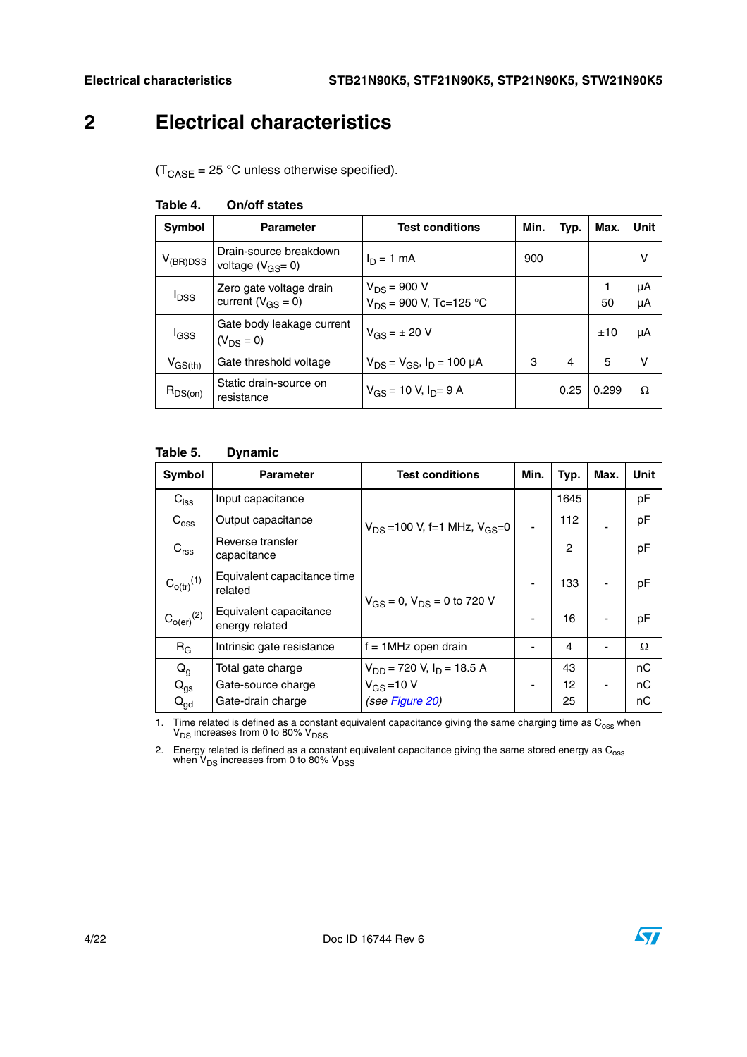### <span id="page-3-0"></span>**2 Electrical characteristics**

 $(T_{\text{CASE}} = 25 \text{ °C}$  unless otherwise specified).

| Symbol           | <b>Parameter</b>                                    | <b>Test conditions</b>                          | Min. | Typ. | Max.  | Unit     |
|------------------|-----------------------------------------------------|-------------------------------------------------|------|------|-------|----------|
| $V_{(BR)DSS}$    | Drain-source breakdown<br>voltage $(V_{GS} = 0)$    | $I_D = 1$ mA                                    | 900  |      |       | v        |
| $I_{\text{DSS}}$ | Zero gate voltage drain<br>current ( $V_{GS} = 0$ ) | $V_{DS}$ = 900 V<br>$V_{DS}$ = 900 V, Tc=125 °C |      |      | 50    | μA<br>μA |
| l <sub>GSS</sub> | Gate body leakage current<br>$(V_{DS} = 0)$         | $V_{GS} = \pm 20 V$                             |      |      | ±10   | μA       |
| $V_{\rm GS(th)}$ | Gate threshold voltage                              | $V_{DS} = V_{GS}$ , $I_D = 100 \mu A$           | 3    | 4    | 5     | v        |
| $R_{DS(on)}$     | Static drain-source on<br>resistance                | $V_{GS}$ = 10 V, $I_{D}$ = 9 A                  |      | 0.25 | 0.299 | Ω        |

#### **Table 4. On/off states**

#### <span id="page-3-1"></span>**Table 5. Dynamic**

| Symbol                     | <b>Parameter</b>                         | <b>Test conditions</b>                 | Min.                     | Typ. | Max. | Unit |
|----------------------------|------------------------------------------|----------------------------------------|--------------------------|------|------|------|
| $C_{\text{iss}}$           | Input capacitance                        |                                        |                          | 1645 |      | pF   |
| $C_{\text{oss}}$           | Output capacitance                       | $V_{DS}$ = 100 V, f=1 MHz, $V_{GS}$ =0 |                          | 112  |      | pF   |
| $C_{\text{rss}}$           | Reverse transfer<br>capacitance          |                                        |                          | 2    |      | pF   |
| $C_{o(tr)}^{(1)}$          | Equivalent capacitance time<br>related   | $V_{GS} = 0$ , $V_{DS} = 0$ to 720 V   | $\overline{\phantom{a}}$ | 133  |      | pF   |
| $\mathrm{C_{o(er)}}^{(2)}$ | Equivalent capacitance<br>energy related |                                        | $\overline{\phantom{a}}$ | 16   |      | pF   |
| $R_G$                      | Intrinsic gate resistance                | $f = 1$ MHz open drain                 |                          | 4    |      | Ω    |
| $Q_{q}$                    | Total gate charge                        | $V_{DD}$ = 720 V, $I_D$ = 18.5 A       |                          | 43   |      | nC   |
| $Q_{gs}$                   | Gate-source charge                       | $V_{GS} = 10 V$                        | -                        | 12   |      | nС   |
| $Q_{\text{gd}}$            | Gate-drain charge                        | (see Figure 20)                        |                          | 25   |      | nС   |

1. Time related is defined as a constant equivalent capacitance giving the same charging time as  $C_{\rm oss}$  when  $V_{\rm DS}$  increases from 0 to 80%  $V_{\rm DSS}$ 

2. Energy related is defined as a constant equivalent capacitance giving the same stored energy as  $C_{\rm oss}$  when V<sub>DS</sub> increases from 0 to 80% V<sub>DSS</sub>

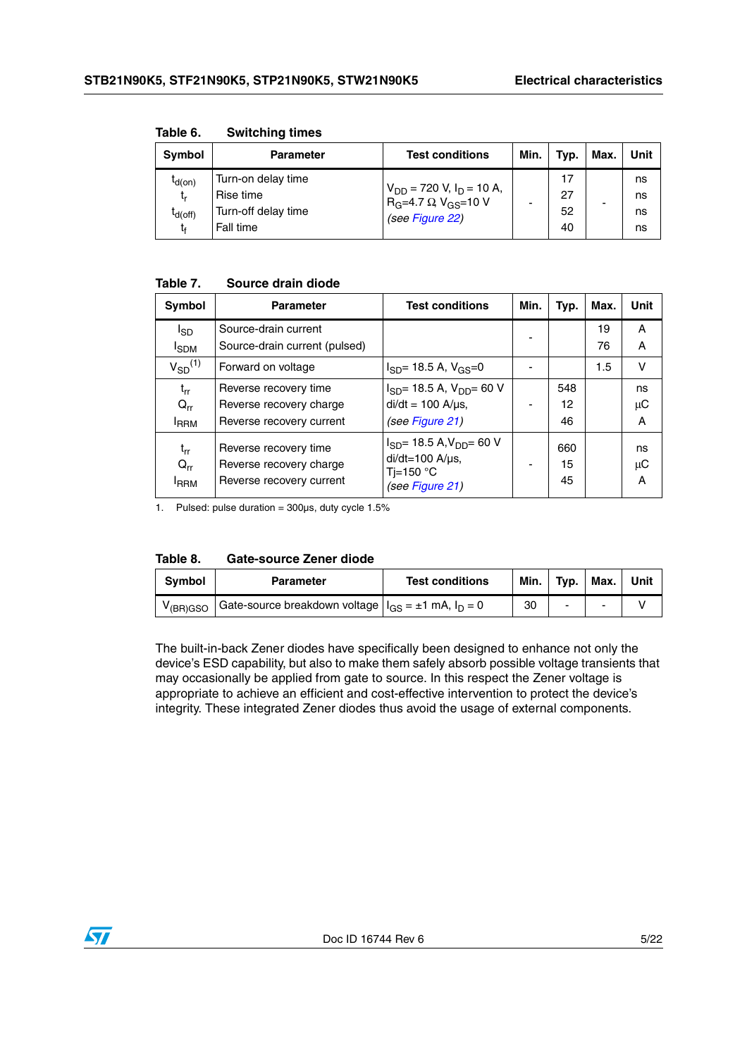| Symbol                                  | <b>Parameter</b>                                                    | <b>Test conditions</b>                                                                                     | Min. | Typ.                 | Max. | Unit                 |
|-----------------------------------------|---------------------------------------------------------------------|------------------------------------------------------------------------------------------------------------|------|----------------------|------|----------------------|
| $I_{d(0n)}$<br>t,<br>$I_{d(off)}$<br>t. | Turn-on delay time<br>Rise time<br>Turn-off delay time<br>Fall time | $V_{DD}$ = 720 V, I <sub>D</sub> = 10 A,<br>R <sub>G</sub> =4.7 Ω V <sub>GS</sub> =10 V<br>(see Figure 22) |      | 17<br>27<br>52<br>40 | -    | ns<br>ns<br>ns<br>ns |

<span id="page-4-0"></span>**Table 6. Switching times**

### **Table 7. Source drain diode**

| Symbol                                   | <b>Parameter</b>                                                             | <b>Test conditions</b>                                                                                   | Min. | Typ.            | Max.     | Unit          |
|------------------------------------------|------------------------------------------------------------------------------|----------------------------------------------------------------------------------------------------------|------|-----------------|----------|---------------|
| l <sub>SD</sub><br><b>I</b> SDM          | Source-drain current<br>Source-drain current (pulsed)                        |                                                                                                          |      |                 | 19<br>76 | Α<br>A        |
| $V_{SD}^{(1)}$                           | Forward on voltage                                                           | $I_{SD}$ = 18.5 A, V <sub>GS</sub> =0                                                                    |      |                 | 1.5      | $\vee$        |
| $t_{rr}$<br>$Q_{rr}$<br><b>IRRM</b>      | Reverse recovery time<br>Reverse recovery charge<br>Reverse recovery current | $I_{SD}$ = 18.5 A, $V_{DD}$ = 60 V<br>$di/dt = 100$ A/ $\mu$ s,<br>(see Figure 21)                       |      | 548<br>12<br>46 |          | ns<br>μC<br>A |
| $t_{rr}$<br>$Q_{rr}$<br><sup>I</sup> RRM | Reverse recovery time<br>Reverse recovery charge<br>Reverse recovery current | $I_{SD}$ = 18.5 A, $V_{DD}$ = 60 V<br>$di/dt = 100$ A/ $\mu$ s,<br>Ti=150 $\degree$ C<br>(see Figure 21) |      | 660<br>15<br>45 |          | ns<br>μC<br>A |

1. Pulsed: pulse duration = 300µs, duty cycle 1.5%

<span id="page-4-1"></span>

| <b>Gate-source Zener diode</b><br>Table 8. |
|--------------------------------------------|
|--------------------------------------------|

| <b>Symbol</b> | <b>Parameter</b>                                                | <b>Test conditions</b> | Min. | Tvp. | Max. | Unit |
|---------------|-----------------------------------------------------------------|------------------------|------|------|------|------|
| $V$ (BR) GSO  | I Gate-source breakdown voltage $ I_{GS} = \pm 1$ mA, $I_D = 0$ |                        | 30   | -    |      |      |

The built-in-back Zener diodes have specifically been designed to enhance not only the device's ESD capability, but also to make them safely absorb possible voltage transients that may occasionally be applied from gate to source. In this respect the Zener voltage is appropriate to achieve an efficient and cost-effective intervention to protect the device's integrity. These integrated Zener diodes thus avoid the usage of external components.

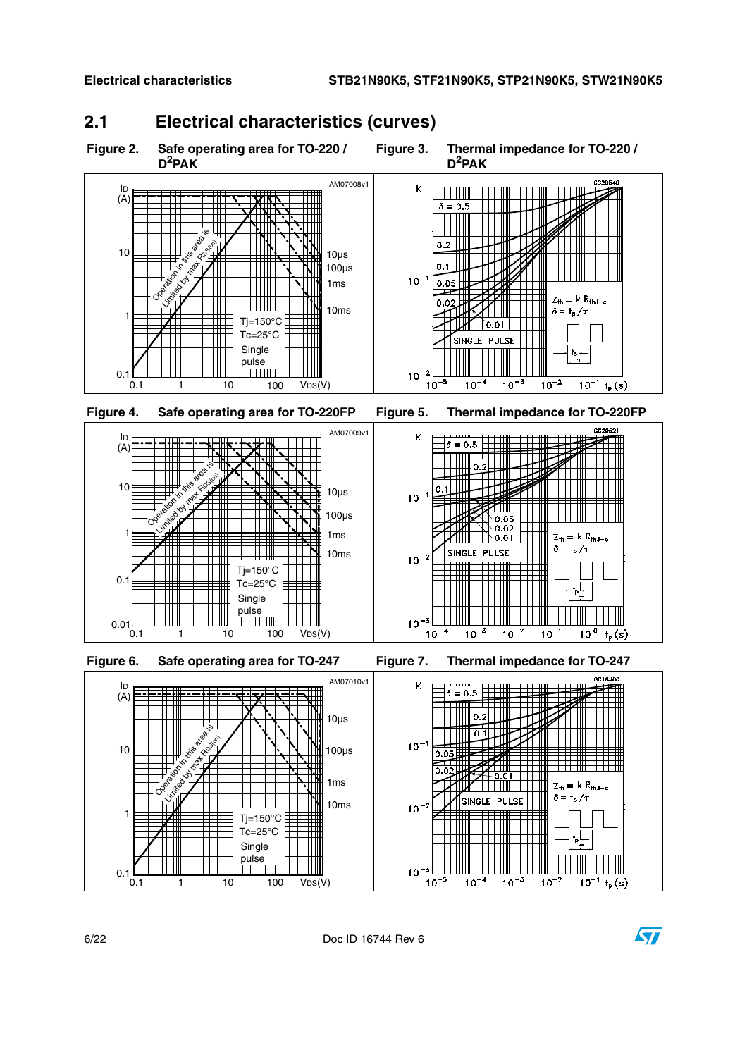### <span id="page-5-0"></span>**2.1 Electrical characteristics (curves)**

<span id="page-5-2"></span><span id="page-5-1"></span>

6/22 Doc ID 16744 Rev 6

 $10^{-3}$ 

 $10^{-5}$ 

 $10^{-4}$ 

-3  $10<sup>1</sup>$ 

 $10^{-2}$ 



 $\frac{1}{10^{-1} + p(s)}$ 

<span id="page-5-3"></span> $0.1\frac{1}{0.1}$ 

 $\frac{1}{1}$  10  $\frac{1}{100}$  V<sub>DS</sub>(V)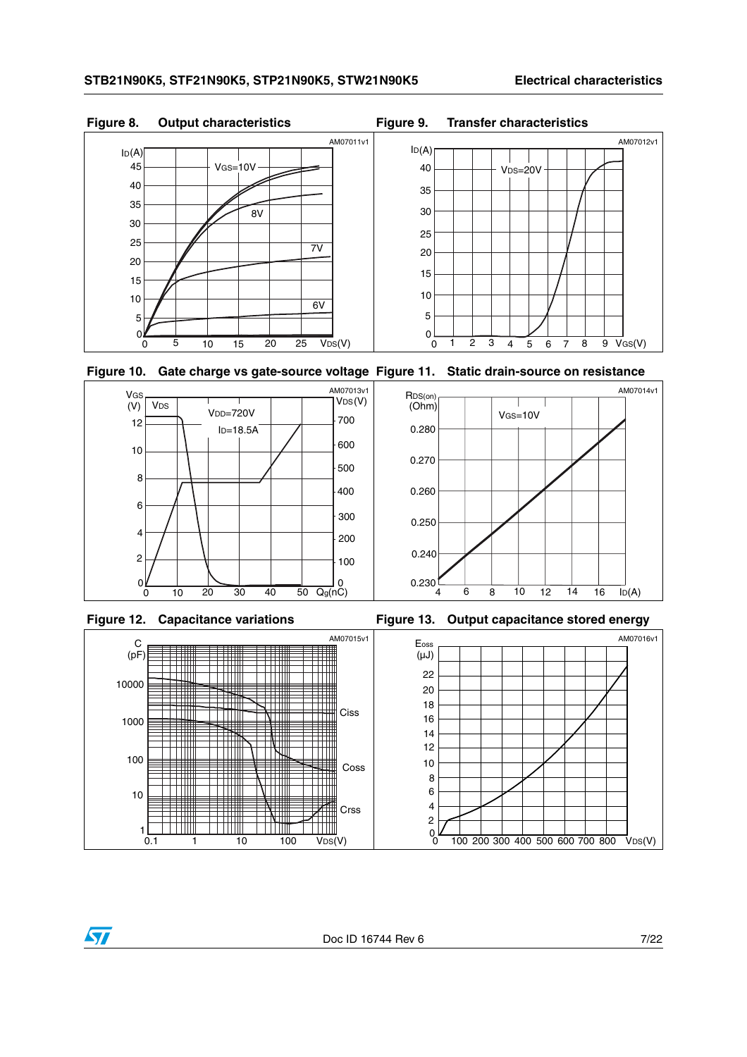

<span id="page-6-0"></span>**Figure 10. Gate charge vs gate-source voltage Figure 11. Static drain-source on resistance**





Figure 12. Capacitance variations **Figure 13. Output capacitance stored energy** 

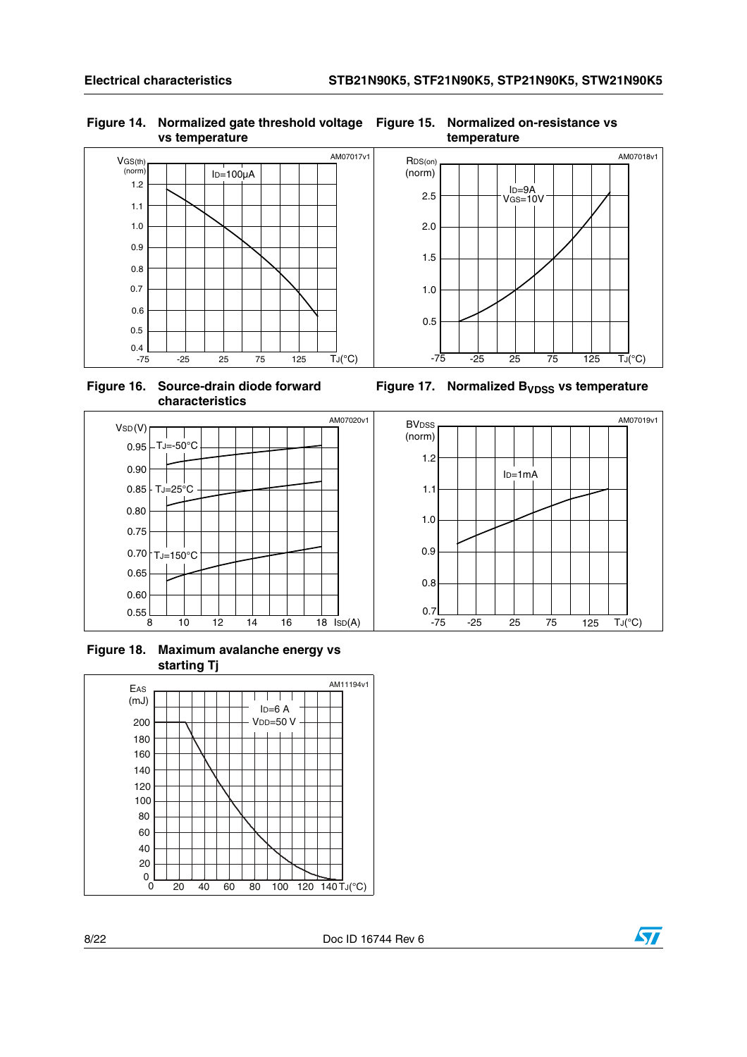#### **Figure 14. Normalized gate threshold voltage Figure 15. Normalized on-resistance vs vs temperature**



**Figure 16. Source-drain diode forward characteristics**



**Figure 18. Maximum avalanche energy vs starting Tj**



**temperature**



Figure 17. Normalized B<sub>VDSS</sub> vs temperature



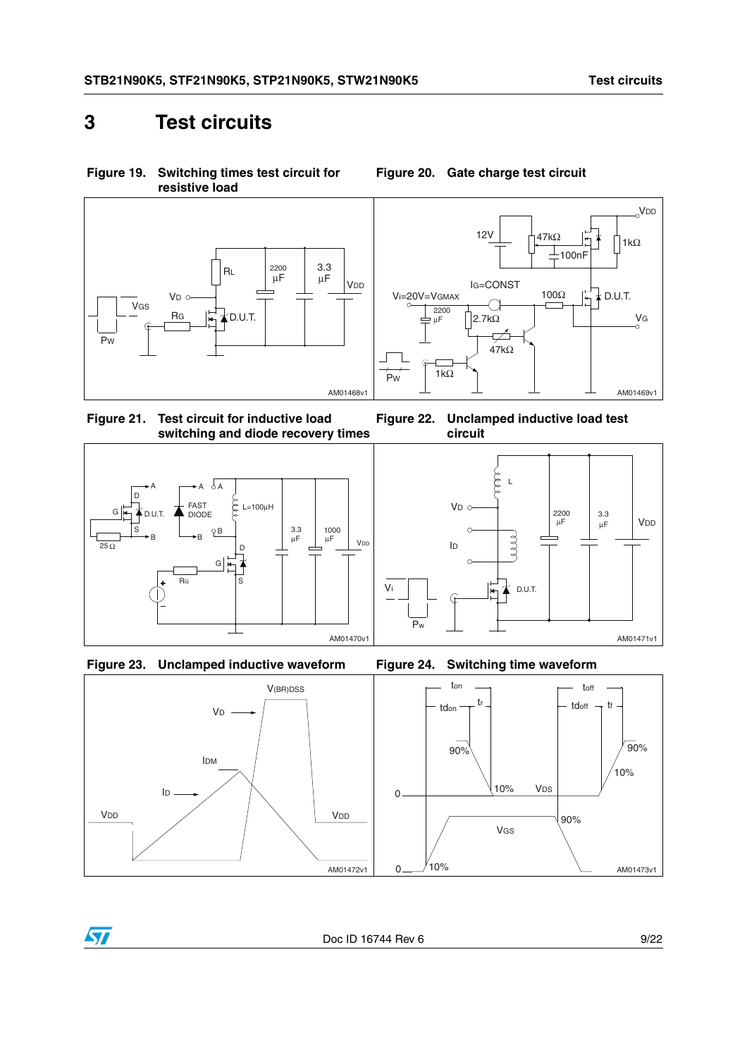VDD

 $47k\Omega$   $\frac{1}{4}$  1kΩ

100nF

### <span id="page-8-0"></span>**3 Test circuits**

**Figure 19. Switching times test circuit for resistive load**





<span id="page-8-1"></span>**Figure 20. Gate charge test circuit**

12V

<span id="page-8-3"></span>**Figure 21. Test circuit for inductive load switching and diode recovery times**







<span id="page-8-2"></span>





Doc ID 16744 Rev 6 9/22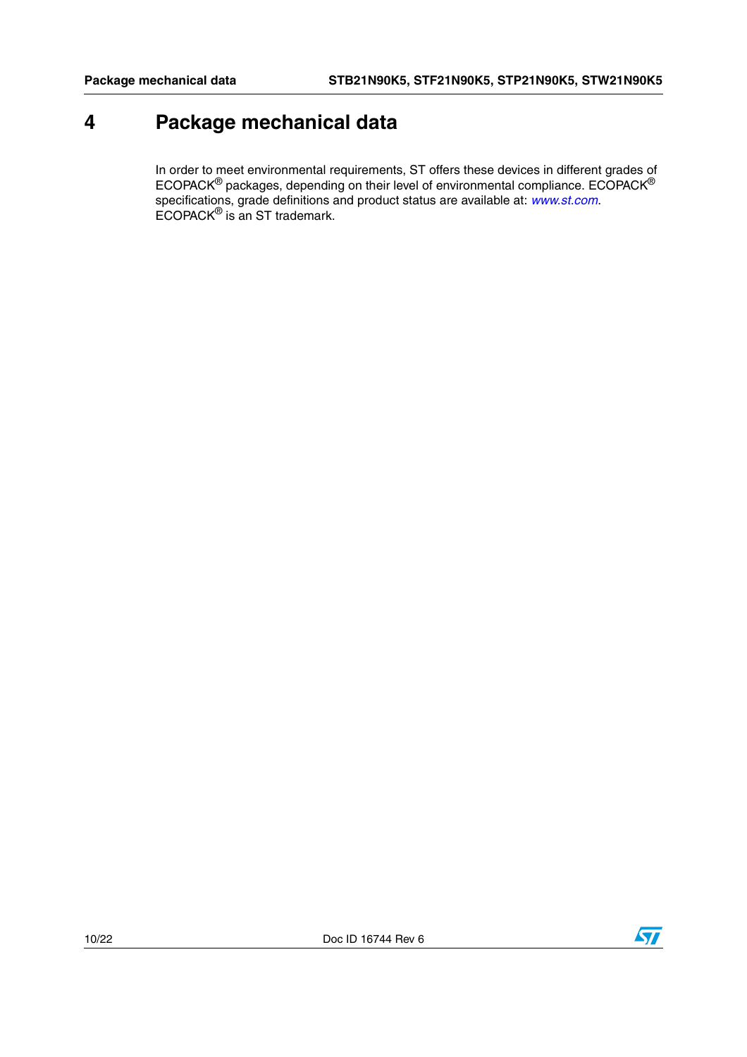## <span id="page-9-0"></span>**4 Package mechanical data**

In order to meet environmental requirements, ST offers these devices in different grades of ECOPACK $^{\circledR}$  packages, depending on their level of environmental compliance. ECOPACK $^{\circledR}$ specifications, grade definitions and product status are available at: *[www.st.com](http://www.st.com)*. ECOPACK® is an ST trademark.

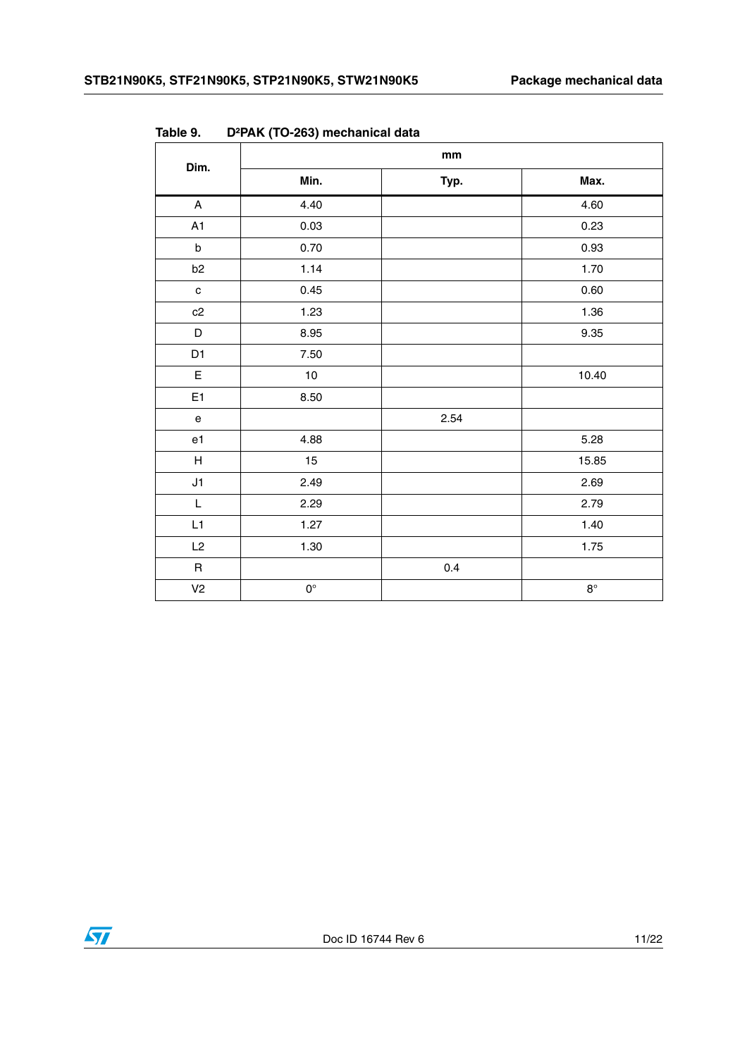| Dim.                                       | mm          |      |             |  |
|--------------------------------------------|-------------|------|-------------|--|
|                                            | Min.        | Typ. | Max.        |  |
| $\mathsf{A}$                               | 4.40        |      | 4.60        |  |
| A1                                         | 0.03        |      | 0.23        |  |
| $\sf b$                                    | 0.70        |      | 0.93        |  |
| b <sub>2</sub>                             | 1.14        |      | 1.70        |  |
| $\mathbf c$                                | 0.45        |      | 0.60        |  |
| c2                                         | 1.23        |      | 1.36        |  |
| D                                          | 8.95        |      | 9.35        |  |
| D <sub>1</sub>                             | 7.50        |      |             |  |
| $\mathsf E$                                | $10$        |      | 10.40       |  |
| E <sub>1</sub>                             | 8.50        |      |             |  |
| $\mathsf{e}% _{0}\left( \mathsf{e}\right)$ |             | 2.54 |             |  |
| e1                                         | 4.88        |      | 5.28        |  |
| $\boldsymbol{\mathsf{H}}$                  | 15          |      | 15.85       |  |
| J1                                         | 2.49        |      | 2.69        |  |
| $\mathsf L$                                | 2.29        |      | 2.79        |  |
| L1                                         | 1.27        |      | 1.40        |  |
| L2                                         | 1.30        |      | 1.75        |  |
| $\mathsf R$                                |             | 0.4  |             |  |
| V <sub>2</sub>                             | $0^{\circ}$ |      | $8^{\circ}$ |  |

**Table 9. D²PAK (TO-263) mechanical data**

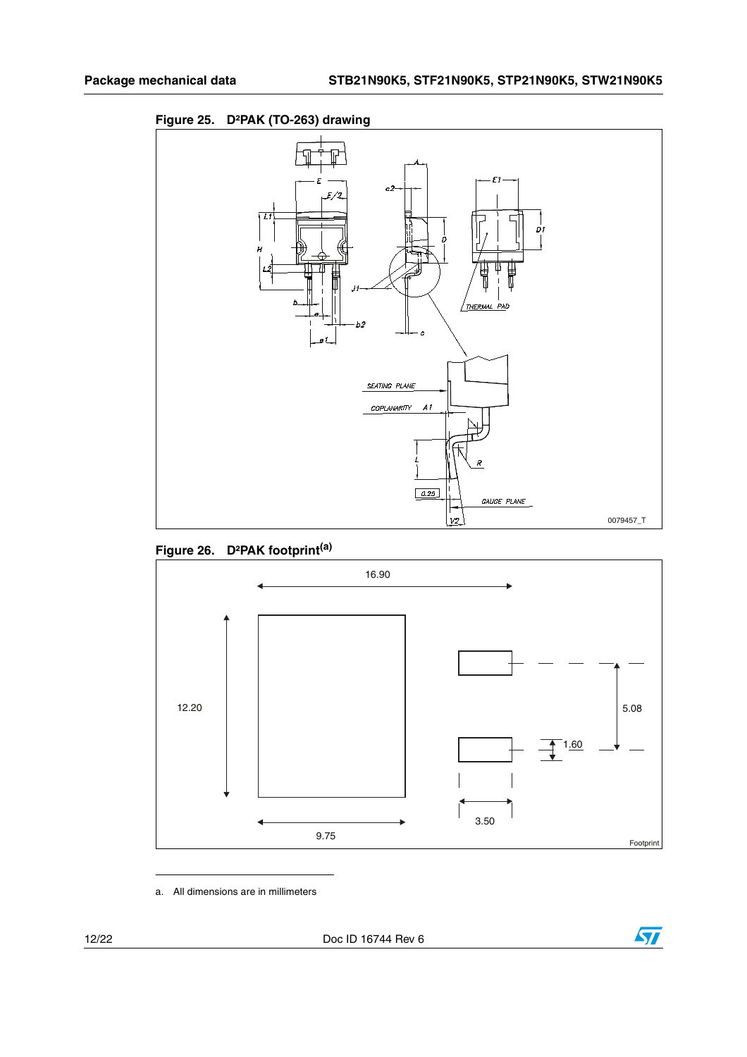







a. All dimensions are in millimeters

12/22 Doc ID 16744 Rev 6

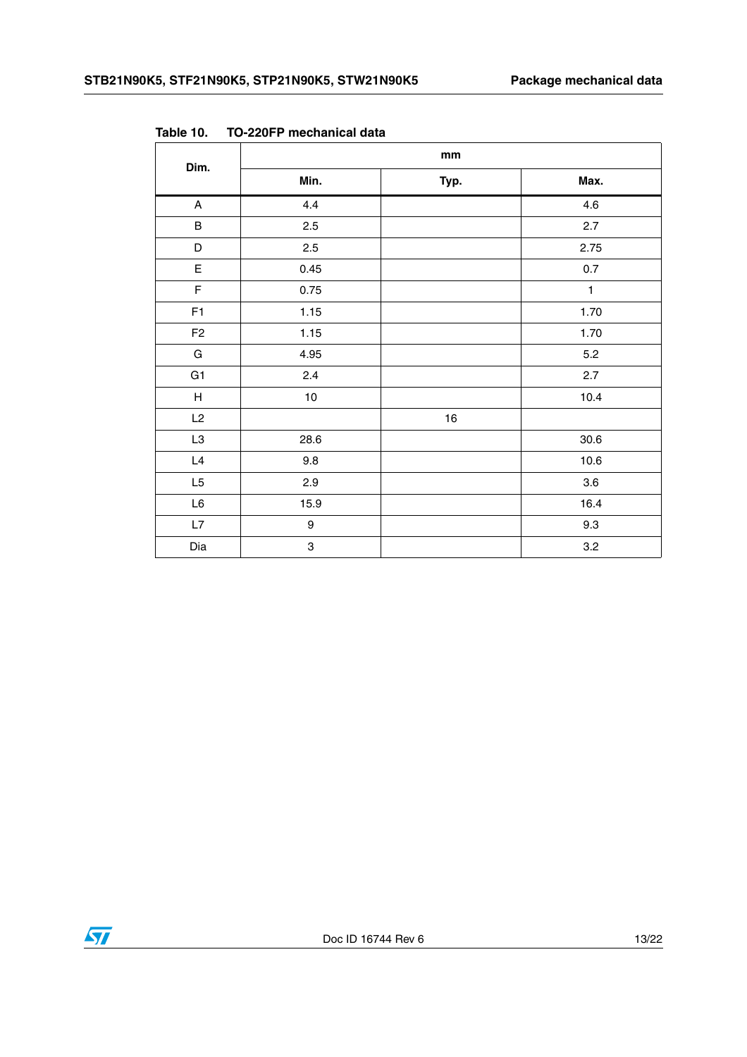| Dim.           | mm   |      |              |  |
|----------------|------|------|--------------|--|
|                | Min. | Typ. | Max.         |  |
| $\mathsf{A}$   | 4.4  |      | 4.6          |  |
| $\sf B$        | 2.5  |      | 2.7          |  |
| $\mathsf D$    | 2.5  |      | 2.75         |  |
| $\mathsf E$    | 0.45 |      | $0.7\,$      |  |
| $\mathsf F$    | 0.75 |      | $\mathbf{1}$ |  |
| F1             | 1.15 |      | 1.70         |  |
| F <sub>2</sub> | 1.15 |      | 1.70         |  |
| ${\mathsf G}$  | 4.95 |      | 5.2          |  |
| G <sub>1</sub> | 2.4  |      | $2.7\,$      |  |
| H              | $10$ |      | 10.4         |  |
| L2             |      | $16$ |              |  |
| L3             | 28.6 |      | 30.6         |  |
| L4             | 9.8  |      | 10.6         |  |
| L <sub>5</sub> | 2.9  |      | $3.6\,$      |  |
| $\mathsf{L6}$  | 15.9 |      | 16.4         |  |
| L7             | 9    |      | 9.3          |  |
| Dia            | 3    |      | 3.2          |  |

**Table 10. TO-220FP mechanical data**

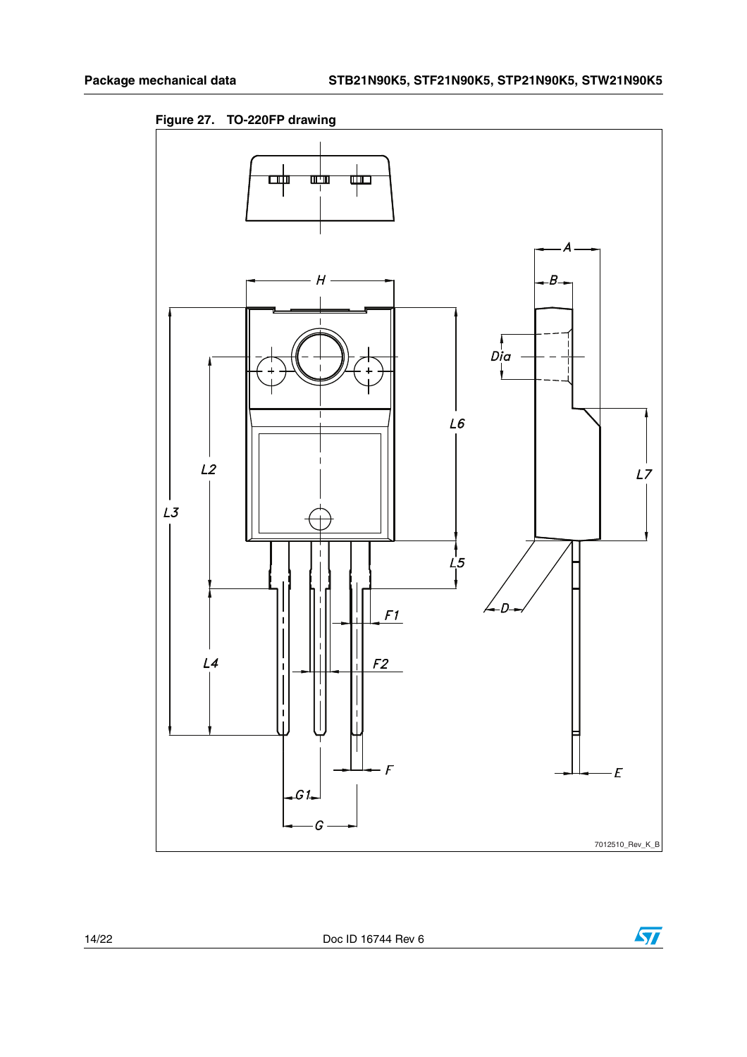**Figure 27. TO-220FP drawing**



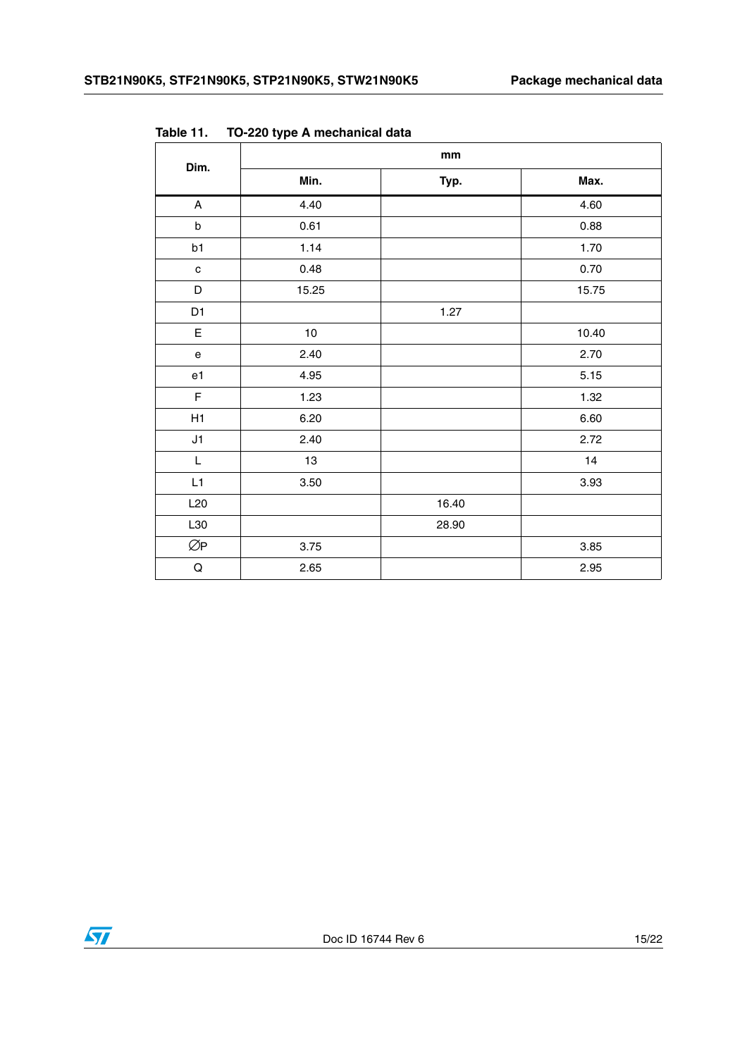| Dim.                              | mm       |       |       |  |
|-----------------------------------|----------|-------|-------|--|
|                                   | Min.     | Typ.  | Max.  |  |
| $\boldsymbol{\mathsf{A}}$         | 4.40     |       | 4.60  |  |
| $\sf b$                           | 0.61     |       | 0.88  |  |
| b1                                | 1.14     |       | 1.70  |  |
| $\mathbf c$                       | 0.48     |       | 0.70  |  |
| D                                 | 15.25    |       | 15.75 |  |
| D1                                |          | 1.27  |       |  |
| E                                 | 10       |       | 10.40 |  |
| $\mathsf{e}% _{t}\left( t\right)$ | 2.40     |       | 2.70  |  |
| e <sub>1</sub>                    | 4.95     |       | 5.15  |  |
| $\mathsf F$                       | 1.23     |       | 1.32  |  |
| H1                                | 6.20     |       | 6.60  |  |
| J1                                | 2.40     |       | 2.72  |  |
| $\mathsf L$                       | 13       |       | 14    |  |
| L1                                | $3.50\,$ |       | 3.93  |  |
| L20                               |          | 16.40 |       |  |
| L30                               |          | 28.90 |       |  |
| ØP                                | 3.75     |       | 3.85  |  |
| $\mathsf Q$                       | 2.65     |       | 2.95  |  |

**Table 11. TO-220 type A mechanical data**

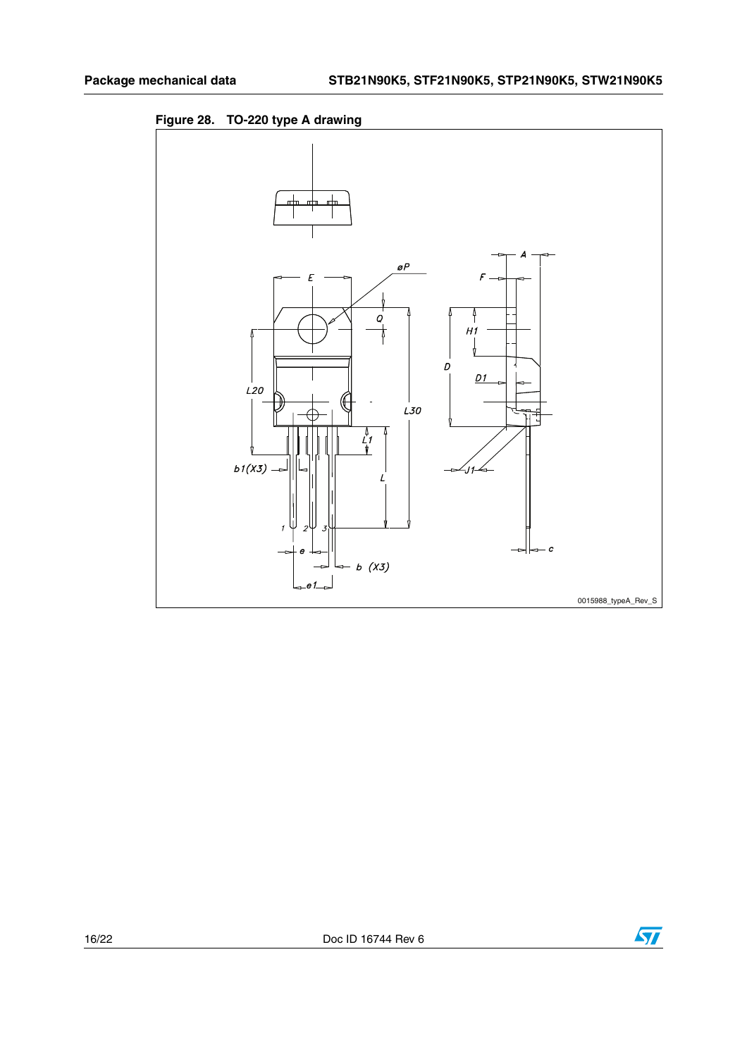



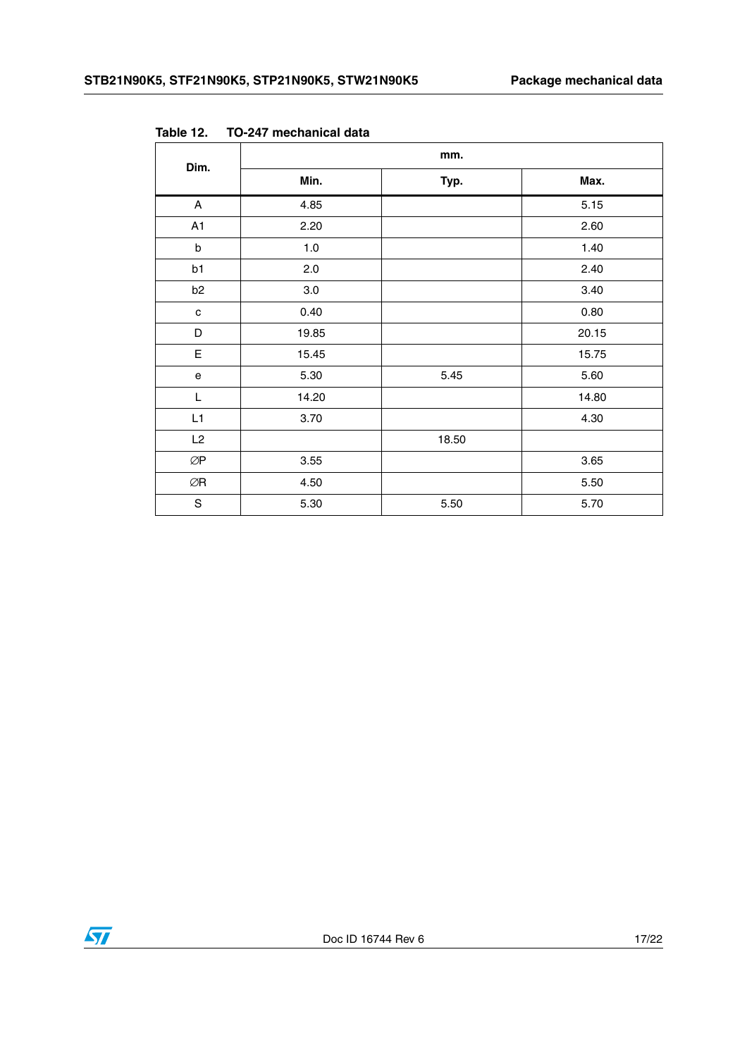| Dim.                                 | mm.   |       |       |  |
|--------------------------------------|-------|-------|-------|--|
|                                      | Min.  | Typ.  | Max.  |  |
| $\mathsf{A}$                         | 4.85  |       | 5.15  |  |
| A1                                   | 2.20  |       | 2.60  |  |
| $\sf b$                              | 1.0   |       | 1.40  |  |
| b1                                   | 2.0   |       | 2.40  |  |
| b <sub>2</sub>                       | 3.0   |       | 3.40  |  |
| $\mathbf{C}$                         | 0.40  |       | 0.80  |  |
| D                                    | 19.85 |       | 20.15 |  |
| $\mathsf E$                          | 15.45 |       | 15.75 |  |
| $\mathsf{e}% _{t}\left( t\right)$    | 5.30  | 5.45  | 5.60  |  |
| L                                    | 14.20 |       | 14.80 |  |
| L1                                   | 3.70  |       | 4.30  |  |
| L2                                   |       | 18.50 |       |  |
| $\oslash\!\operatorname{\mathsf{P}}$ | 3.55  |       | 3.65  |  |
| ØR                                   | 4.50  |       | 5.50  |  |
| $\mathbf S$                          | 5.30  | 5.50  | 5.70  |  |

**Table 12. TO-247 mechanical data**

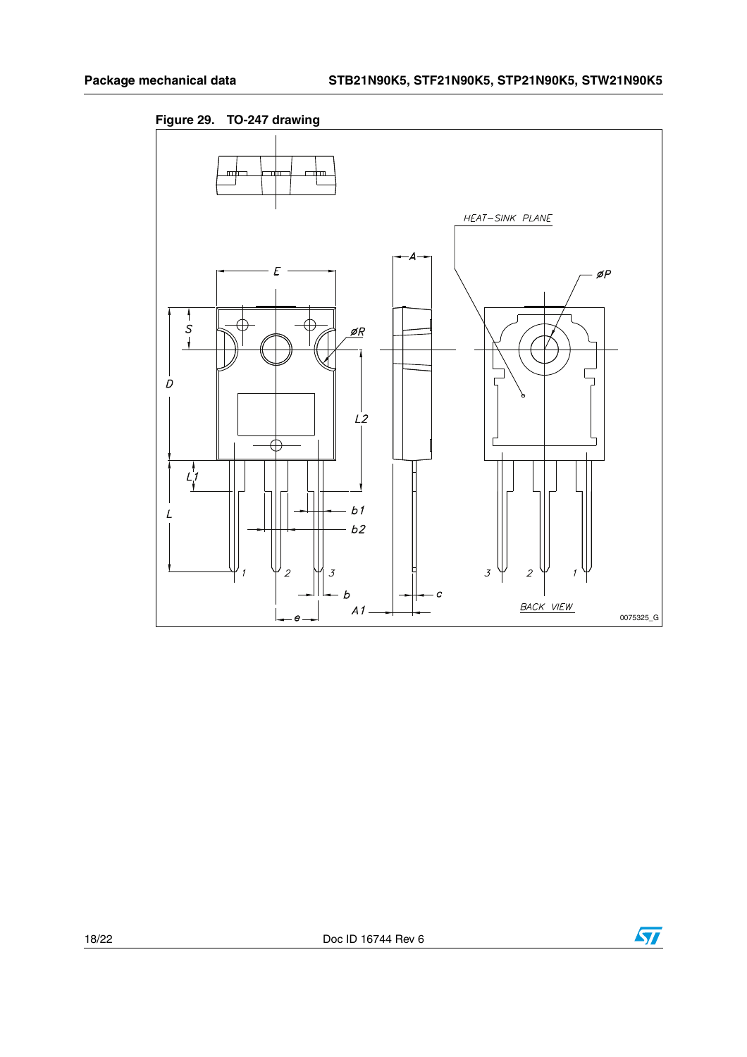

**Figure 29. TO-247 drawing**

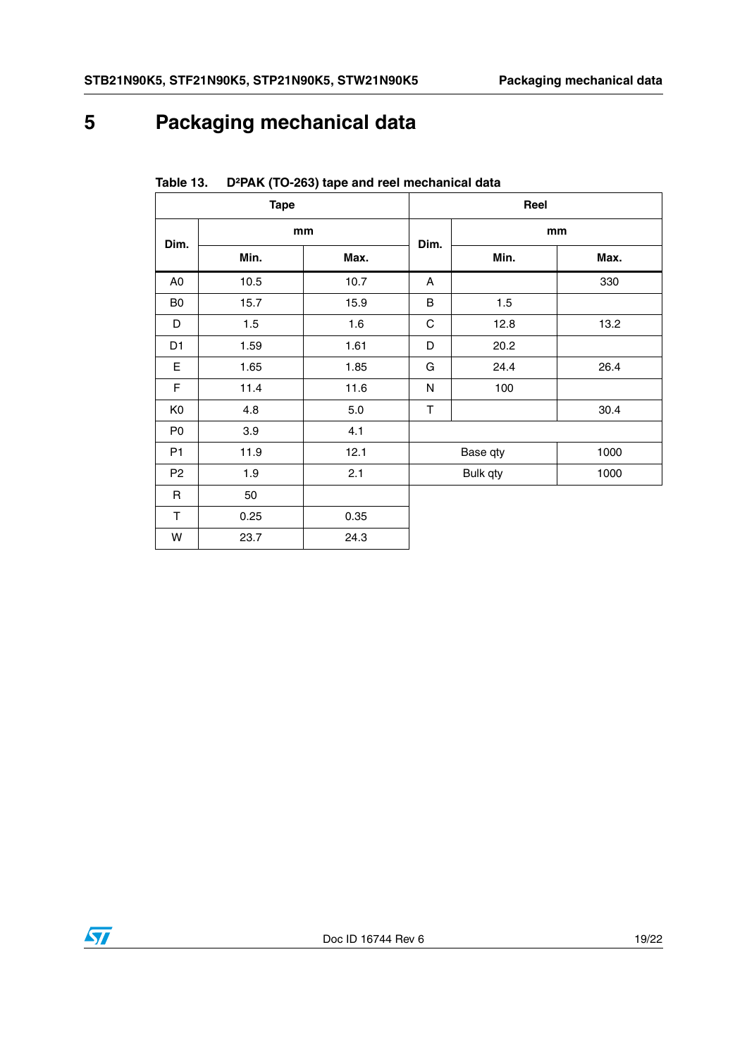# <span id="page-18-0"></span>**5 Packaging mechanical data**

| <b>Tape</b>    |      |      |      | Reel     |      |
|----------------|------|------|------|----------|------|
| Dim.           | mm   |      |      | mm       |      |
|                | Min. | Max. | Dim. | Min.     | Max. |
| A <sub>0</sub> | 10.5 | 10.7 | A    |          | 330  |
| B <sub>0</sub> | 15.7 | 15.9 | B    | 1.5      |      |
| D              | 1.5  | 1.6  | C    | 12.8     | 13.2 |
| D <sub>1</sub> | 1.59 | 1.61 | D    | 20.2     |      |
| E              | 1.65 | 1.85 | G    | 24.4     | 26.4 |
| $\mathsf F$    | 11.4 | 11.6 | N    | 100      |      |
| K <sub>0</sub> | 4.8  | 5.0  | T    |          | 30.4 |
| P <sub>0</sub> | 3.9  | 4.1  |      |          |      |
| P <sub>1</sub> | 11.9 | 12.1 |      | Base qty | 1000 |
| P <sub>2</sub> | 1.9  | 2.1  |      | Bulk qty | 1000 |
| $\mathsf{R}$   | 50   |      |      |          |      |
| T.             | 0.25 | 0.35 |      |          |      |
| W              | 23.7 | 24.3 |      |          |      |

**Table 13. D²PAK (TO-263) tape and reel mechanical data**

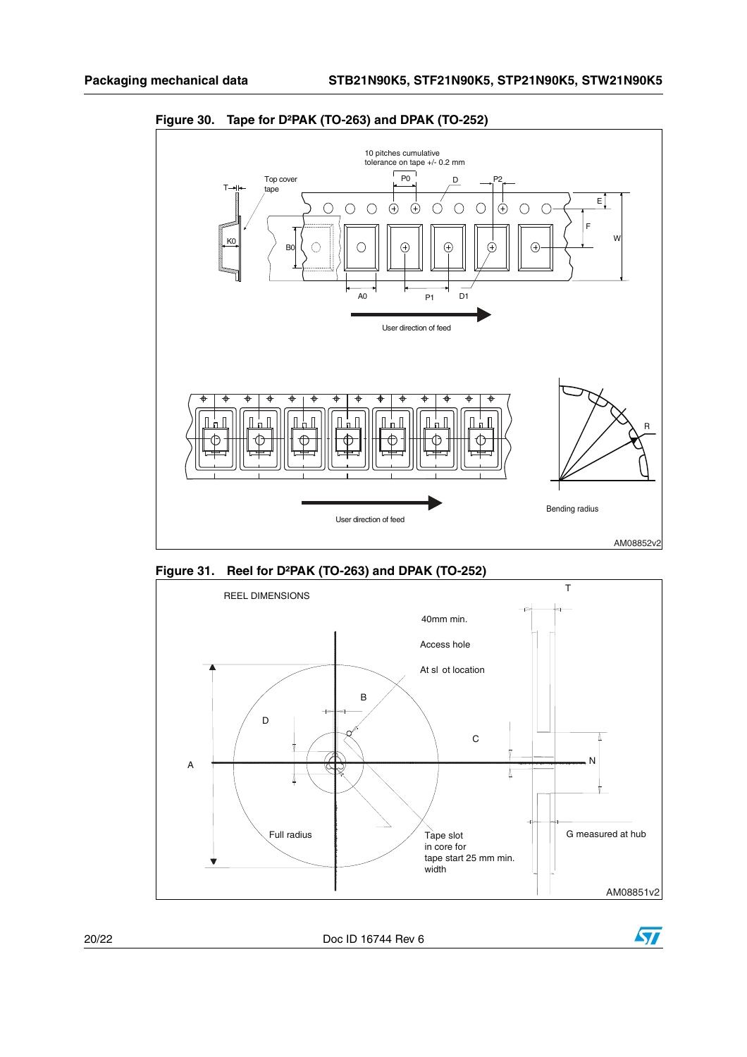

**Figure 30. Tape for D²PAK (TO-263) and DPAK (TO-252)**

**Figure 31. Reel for D²PAK (TO-263) and DPAK (TO-252)**





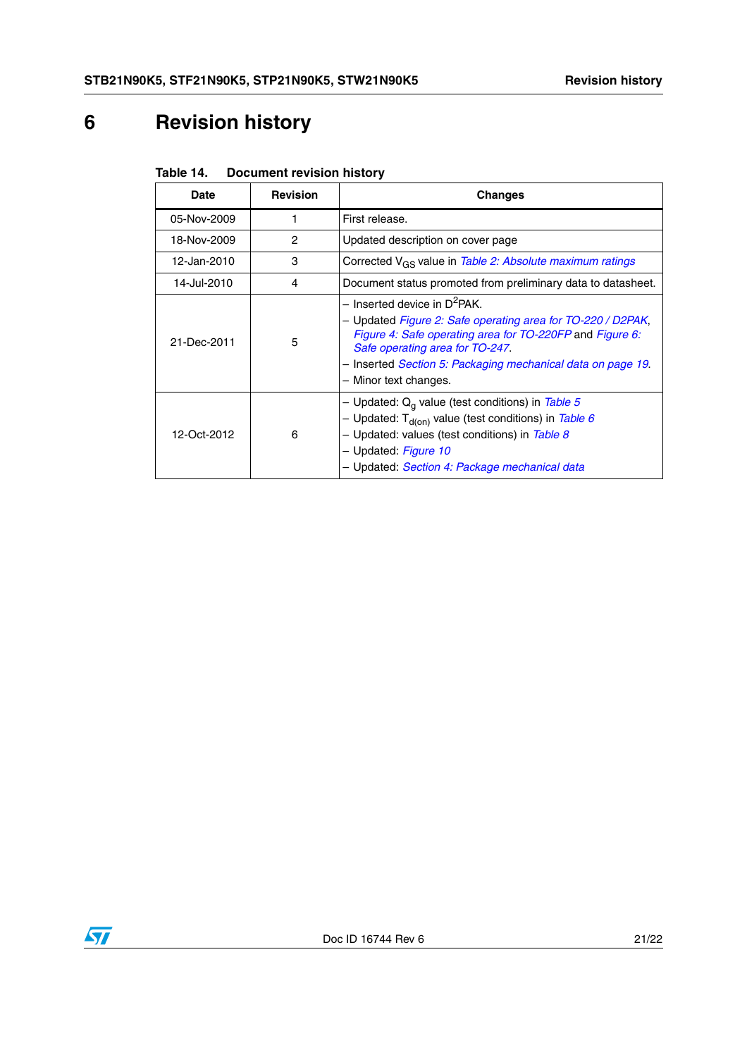# <span id="page-20-0"></span>**6 Revision history**

|  | Table 14. | <b>Document revision history</b> |
|--|-----------|----------------------------------|
|--|-----------|----------------------------------|

| <b>Date</b> | <b>Revision</b> | <b>Changes</b>                                                                                                                                                                                                                                                                                   |  |
|-------------|-----------------|--------------------------------------------------------------------------------------------------------------------------------------------------------------------------------------------------------------------------------------------------------------------------------------------------|--|
| 05-Nov-2009 |                 | First release.                                                                                                                                                                                                                                                                                   |  |
| 18-Nov-2009 | 2               | Updated description on cover page                                                                                                                                                                                                                                                                |  |
| 12-Jan-2010 | 3               | Corrected V <sub>GS</sub> value in Table 2: Absolute maximum ratings                                                                                                                                                                                                                             |  |
| 14-Jul-2010 | 4               | Document status promoted from preliminary data to datasheet.                                                                                                                                                                                                                                     |  |
| 21-Dec-2011 | 5               | $-$ Inserted device in D <sup>2</sup> PAK.<br>- Updated Figure 2: Safe operating area for TO-220 / D2PAK,<br>Figure 4: Safe operating area for TO-220FP and Figure 6:<br>Safe operating area for TO-247.<br>- Inserted Section 5: Packaging mechanical data on page 19.<br>- Minor text changes. |  |
| 12-Oct-2012 | 6               | - Updated: $Q_q$ value (test conditions) in Table 5<br>- Updated: $T_{d(0n)}$ value (test conditions) in Table 6<br>- Updated: values (test conditions) in Table 8<br>- Updated: Figure 10<br>- Updated: Section 4: Package mechanical data                                                      |  |